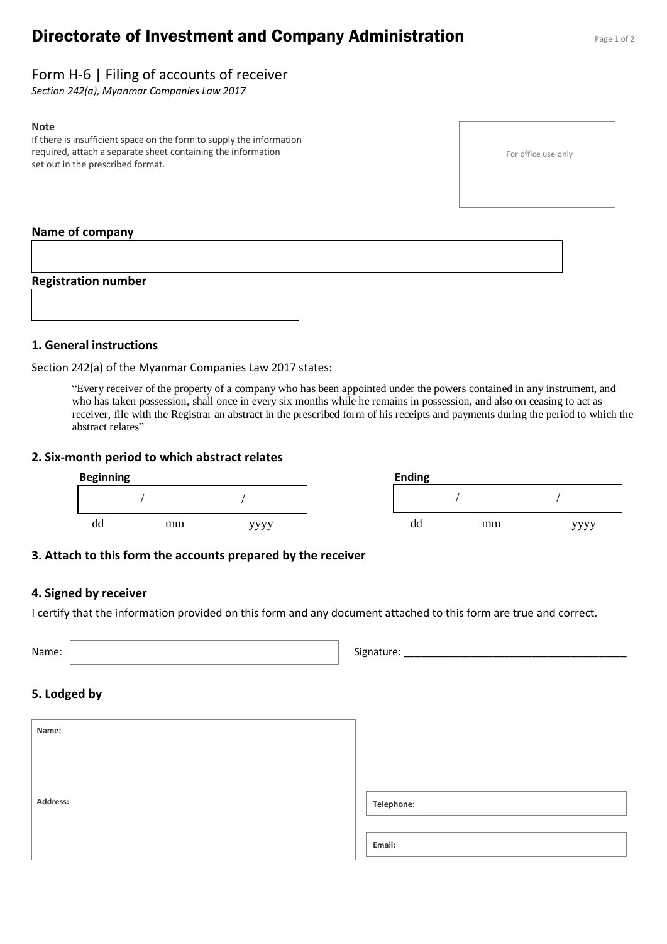# **Directorate of Investment and Company Administration** Page 1 of 2

# Form H-6 | Filing of accounts of receiver

*Section 242(a), Myanmar Companies Law 2017*

#### **Note**

If there is insufficient space on the form to supply the information required, attach a separate sheet containing the information set out in the prescribed format.

#### For office use only

#### **Name of company**



### **1. General instructions**

Section 242(a) of the Myanmar Companies Law 2017 states:

"Every receiver of the property of a company who has been appointed under the powers contained in any instrument, and who has taken possession, shall once in every six months while he remains in possession, and also on ceasing to act as receiver, file with the Registrar an abstract in the prescribed form of his receipts and payments during the period to which the abstract relates"

#### **2. Six-month period to which abstract relates**

| <b>Beginning</b> |    |      | <b>Ending</b> |    |    |      |
|------------------|----|------|---------------|----|----|------|
|                  |    |      |               |    |    |      |
| dd               | mm | vvvv |               | dd | mm | vvvv |

#### **3. Attach to this form the accounts prepared by the receiver**

#### **4. Signed by receiver**

I certify that the information provided on this form and any document attached to this form are true and correct.

Name: Signature: \_\_\_\_\_\_\_\_\_\_\_\_\_\_\_\_\_\_\_\_\_\_\_\_\_\_\_\_\_\_\_\_\_\_\_\_\_\_\_\_

#### **5. Lodged by**

| Name:    |            |
|----------|------------|
|          |            |
| Address: | Telephone: |
|          | Email:     |